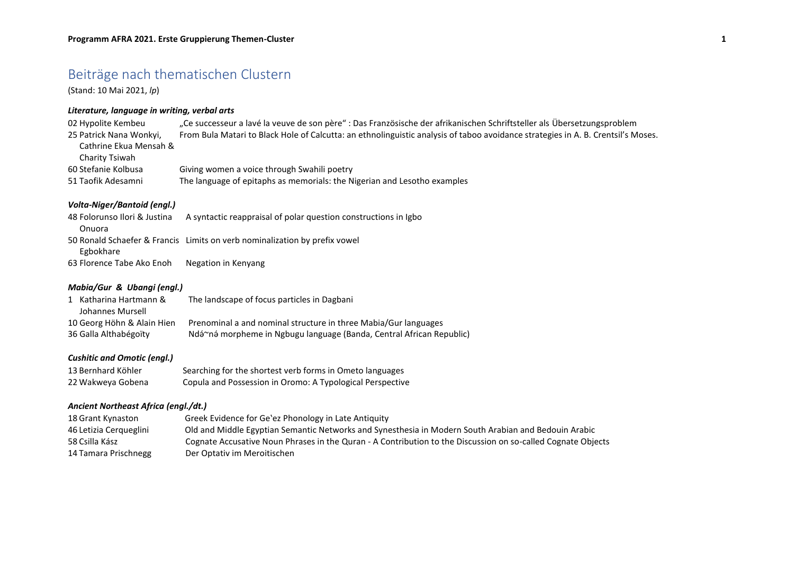# Beiträge nach thematischen Clustern

(Stand: 10 Mai 2021, *lp*)

## *Literature, language in writing, verbal arts*

| 02 Hypolite Kembeu      | "Ce successeur a lavé la veuve de son père" : Das Französische der afrikanischen Schriftsteller als Übersetzungsproblem          |
|-------------------------|----------------------------------------------------------------------------------------------------------------------------------|
| 25 Patrick Nana Wonkyi, | From Bula Matari to Black Hole of Calcutta: an ethnolinguistic analysis of taboo avoidance strategies in A. B. Crentsil's Moses. |
| Cathrine Ekua Mensah &  |                                                                                                                                  |
| Charity Tsiwah          |                                                                                                                                  |
| 60 Stefanie Kolbusa     | Giving women a voice through Swahili poetry                                                                                      |
| 51 Taofik Adesamni      | The language of epitaphs as memorials: the Nigerian and Lesotho examples                                                         |

#### *Volta-Niger/Bantoid (engl.)*

| 48 Folorunso Ilori & Justina | A syntactic reappraisal of polar question constructions in Igbo            |
|------------------------------|----------------------------------------------------------------------------|
| Onuora                       |                                                                            |
|                              | 50 Ronald Schaefer & Francis Limits on verb nominalization by prefix vowel |
| Egbokhare                    |                                                                            |
| 63 Florence Tabe Ako Enoh    | Negation in Kenyang                                                        |

#### *Mabia/Gur & Ubangi (engl.)*

| 1 Katharina Hartmann &     | The landscape of focus particles in Dagbani                          |
|----------------------------|----------------------------------------------------------------------|
| Johannes Mursell           |                                                                      |
| 10 Georg Höhn & Alain Hien | Prenominal a and nominal structure in three Mabia/Gur languages      |
| 36 Galla Althabégoïty      | Ndá~né morpheme in Ngbugu language (Banda, Central African Republic) |

#### *Cushitic and Omotic (engl.)*

| 13 Bernhard Köhler | Searching for the shortest verb forms in Ometo languages  |
|--------------------|-----------------------------------------------------------|
| 22 Wakweya Gobena  | Copula and Possession in Oromo: A Typological Perspective |

#### *Ancient Northeast Africa (engl./dt.)*

| 18 Grant Kynaston      | Greek Evidence for Ge'ez Phonology in Late Antiquity                                                         |
|------------------------|--------------------------------------------------------------------------------------------------------------|
| 46 Letizia Cergueglini | Old and Middle Egyptian Semantic Networks and Synesthesia in Modern South Arabian and Bedouin Arabic         |
| 58 Csilla Kász         | Cognate Accusative Noun Phrases in the Quran - A Contribution to the Discussion on so-called Cognate Objects |
| 14 Tamara Prischnegg   | Der Optativ im Meroitischen                                                                                  |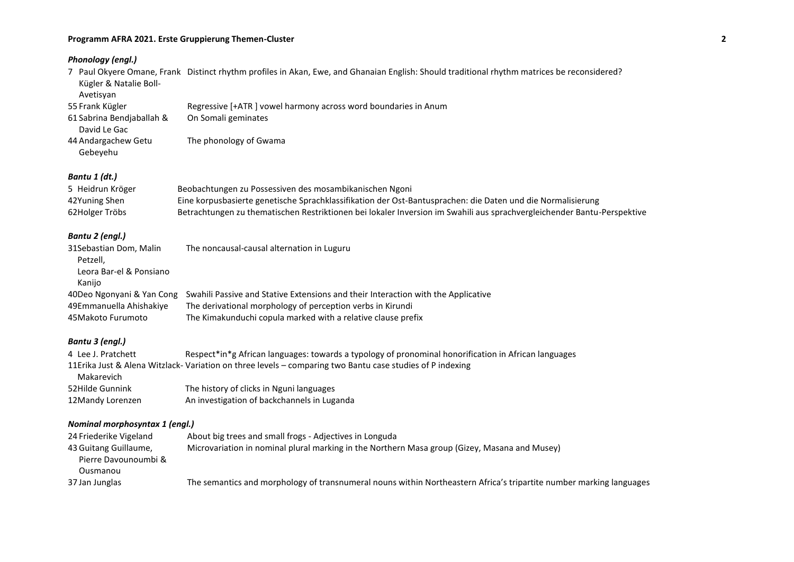#### **Programm AFRA 2021. Erste Gruppierung Themen-Cluster 2**

| Phonology (engl.)                                             |                                                                                                                                             |
|---------------------------------------------------------------|---------------------------------------------------------------------------------------------------------------------------------------------|
| Kügler & Natalie Boll-<br>Avetisyan                           | 7 Paul Okyere Omane, Frank Distinct rhythm profiles in Akan, Ewe, and Ghanaian English: Should traditional rhythm matrices be reconsidered? |
| 55 Frank Kügler                                               | Regressive [+ATR ] vowel harmony across word boundaries in Anum                                                                             |
| 61 Sabrina Bendjaballah &<br>David Le Gac                     | On Somali geminates                                                                                                                         |
| 44 Andargachew Getu<br>Gebeyehu                               | The phonology of Gwama                                                                                                                      |
| Bantu 1 (dt.)                                                 |                                                                                                                                             |
| 5 Heidrun Kröger                                              | Beobachtungen zu Possessiven des mosambikanischen Ngoni                                                                                     |
| 42Yuning Shen                                                 | Eine korpusbasierte genetische Sprachklassifikation der Ost-Bantusprachen: die Daten und die Normalisierung                                 |
| 62Holger Tröbs                                                | Betrachtungen zu thematischen Restriktionen bei lokaler Inversion im Swahili aus sprachvergleichender Bantu-Perspektive                     |
| Bantu 2 (engl.)                                               |                                                                                                                                             |
| 31Sebastian Dom, Malin<br>Petzell.<br>Leora Bar-el & Ponsiano | The noncausal-causal alternation in Luguru                                                                                                  |
| Kanijo                                                        |                                                                                                                                             |
| 40Deo Ngonyani & Yan Cong                                     | Swahili Passive and Stative Extensions and their Interaction with the Applicative                                                           |
| 49Emmanuella Ahishakiye                                       | The derivational morphology of perception verbs in Kirundi                                                                                  |
| 45 Makoto Furumoto                                            | The Kimakunduchi copula marked with a relative clause prefix                                                                                |
| Bantu 3 (engl.)                                               |                                                                                                                                             |
| 4 Lee J. Pratchett                                            | Respect*in*g African languages: towards a typology of pronominal honorification in African languages                                        |
| Makarevich                                                    | 11 Erika Just & Alena Witzlack- Variation on three levels - comparing two Bantu case studies of P indexing                                  |
| 52Hilde Gunnink                                               | The history of clicks in Nguni languages                                                                                                    |
| 12Mandy Lorenzen                                              | An investigation of backchannels in Luganda                                                                                                 |
| Nominal morphosyntax 1 (engl.)                                |                                                                                                                                             |

| 24 Friederike Vigeland | About big trees and small frogs - Adjectives in Longuda                                                             |
|------------------------|---------------------------------------------------------------------------------------------------------------------|
| 43 Guitang Guillaume,  | Microvariation in nominal plural marking in the Northern Masa group (Gizey, Masana and Musey)                       |
| Pierre Davounoumbi &   |                                                                                                                     |
| Ousmanou               |                                                                                                                     |
| 37 Jan Junglas         | The semantics and morphology of transnumeral nouns within Northeastern Africa's tripartite number marking languages |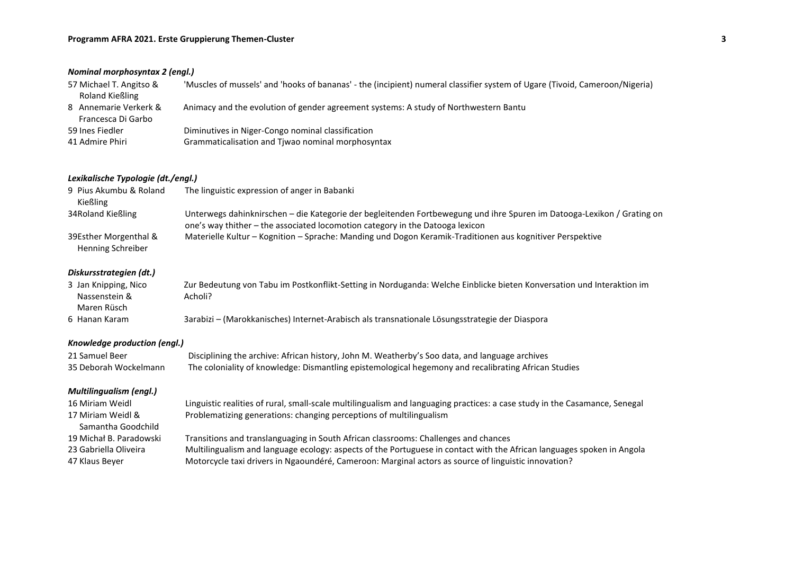| Nominal morphosyntax 2 (engl.)                                     |                                                                                                                                                                                                                                                                                                                       |  |
|--------------------------------------------------------------------|-----------------------------------------------------------------------------------------------------------------------------------------------------------------------------------------------------------------------------------------------------------------------------------------------------------------------|--|
| 57 Michael T. Angitso &<br><b>Roland Kießling</b>                  | 'Muscles of mussels' and 'hooks of bananas' - the (incipient) numeral classifier system of Ugare (Tivoid, Cameroon/Nigeria)                                                                                                                                                                                           |  |
| 8 Annemarie Verkerk &<br>Francesca Di Garbo                        | Animacy and the evolution of gender agreement systems: A study of Northwestern Bantu                                                                                                                                                                                                                                  |  |
| 59 Ines Fiedler                                                    | Diminutives in Niger-Congo nominal classification                                                                                                                                                                                                                                                                     |  |
| 41 Admire Phiri                                                    | Grammaticalisation and Tjwao nominal morphosyntax                                                                                                                                                                                                                                                                     |  |
| Lexikalische Typologie (dt./engl.)                                 |                                                                                                                                                                                                                                                                                                                       |  |
| 9 Pius Akumbu & Roland<br>Kießling                                 | The linguistic expression of anger in Babanki                                                                                                                                                                                                                                                                         |  |
| 34Roland Kießling                                                  | Unterwegs dahinknirschen - die Kategorie der begleitenden Fortbewegung und ihre Spuren im Datooga-Lexikon / Grating on<br>one's way thither - the associated locomotion category in the Datooga lexicon                                                                                                               |  |
| 39Esther Morgenthal &<br>Henning Schreiber                         | Materielle Kultur - Kognition - Sprache: Manding und Dogon Keramik-Traditionen aus kognitiver Perspektive                                                                                                                                                                                                             |  |
| Diskursstrategien (dt.)                                            |                                                                                                                                                                                                                                                                                                                       |  |
| 3 Jan Knipping, Nico<br>Nassenstein &<br>Maren Rüsch               | Zur Bedeutung von Tabu im Postkonflikt-Setting in Norduganda: Welche Einblicke bieten Konversation und Interaktion im<br>Acholi?                                                                                                                                                                                      |  |
| 6 Hanan Karam                                                      | 3arabizi - (Marokkanisches) Internet-Arabisch als transnationale Lösungsstrategie der Diaspora                                                                                                                                                                                                                        |  |
| Knowledge production (engl.)                                       |                                                                                                                                                                                                                                                                                                                       |  |
| 21 Samuel Beer<br>35 Deborah Wockelmann                            | Disciplining the archive: African history, John M. Weatherby's Soo data, and language archives<br>The coloniality of knowledge: Dismantling epistemological hegemony and recalibrating African Studies                                                                                                                |  |
| <b>Multilingualism (engl.)</b>                                     |                                                                                                                                                                                                                                                                                                                       |  |
| 16 Miriam Weidl<br>17 Miriam Weidl &<br>Samantha Goodchild         | Linguistic realities of rural, small-scale multilingualism and languaging practices: a case study in the Casamance, Senegal<br>Problematizing generations: changing perceptions of multilingualism                                                                                                                    |  |
| 19 Michał B. Paradowski<br>23 Gabriella Oliveira<br>47 Klaus Beyer | Transitions and translanguaging in South African classrooms: Challenges and chances<br>Multilingualism and language ecology: aspects of the Portuguese in contact with the African languages spoken in Angola<br>Motorcycle taxi drivers in Ngaoundéré, Cameroon: Marginal actors as source of linguistic innovation? |  |